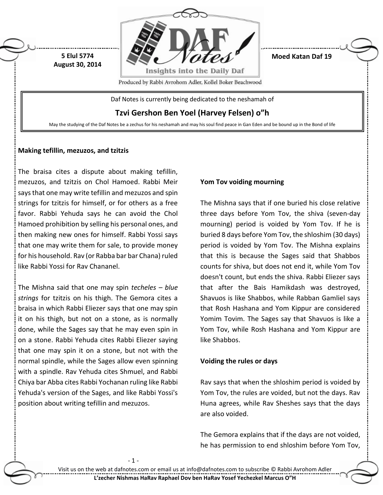

**Moed Katan Daf 19**

Produced by Rabbi Avrohom Adler, Kollel Boker Beachwood

Daf Notes is currently being dedicated to the neshamah of

**Tzvi Gershon Ben Yoel (Harvey Felsen) o"h**

May the studying of the Daf Notes be a zechus for his neshamah and may his soul find peace in Gan Eden and be bound up in the Bond of life

### **Making tefillin, mezuzos, and tzitzis**

**5 Elul 5774 August 30, 2014**

The braisa cites a dispute about making tefillin, mezuzos, and tzitzis on Chol Hamoed. Rabbi Meir says that one may write tefillin and mezuzos and spin strings for tzitzis for himself, or for others as a free favor. Rabbi Yehuda says he can avoid the Chol Hamoed prohibition by selling his personal ones, and then making new ones for himself. Rabbi Yossi says that one may write them for sale, to provide money for his household. Rav (or Rabba bar bar Chana) ruled like Rabbi Yossi for Rav Chananel.

The Mishna said that one may spin *techeles – blue strings* for tzitzis on his thigh. The Gemora cites a braisa in which Rabbi Eliezer says that one may spin it on his thigh, but not on a stone, as is normally done, while the Sages say that he may even spin in on a stone. Rabbi Yehuda cites Rabbi Eliezer saying that one may spin it on a stone, but not with the normal spindle, while the Sages allow even spinning with a spindle. Rav Yehuda cites Shmuel, and Rabbi Chiya bar Abba cites Rabbi Yochanan ruling like Rabbi Yehuda's version of the Sages, and like Rabbi Yossi's position about writing tefillin and mezuzos.

- 1 -

### **Yom Tov voiding mourning**

The Mishna says that if one buried his close relative three days before Yom Tov, the shiva (seven-day mourning) period is voided by Yom Tov. If he is buried 8 days before Yom Tov, the shloshim (30 days) period is voided by Yom Tov. The Mishna explains that this is because the Sages said that Shabbos counts for shiva, but does not end it, while Yom Tov doesn't count, but ends the shiva. Rabbi Eliezer says that after the Bais Hamikdash was destroyed, Shavuos is like Shabbos, while Rabban Gamliel says that Rosh Hashana and Yom Kippur are considered Yomim Tovim. The Sages say that Shavuos is like a Yom Tov, while Rosh Hashana and Yom Kippur are like Shabbos.

### **Voiding the rules or days**

Rav says that when the shloshim period is voided by Yom Tov, the rules are voided, but not the days. Rav Huna agrees, while Rav Sheshes says that the days are also voided.

The Gemora explains that if the days are not voided, he has permission to end shloshim before Yom Tov,

Visit us on the web at dafnotes.com or email us at [info@dafnotes.com](mailto:info@dafnotes.com) to subscribe © Rabbi Avrohom Adler **L'zecher Nishmas HaRav Raphael Dov ben HaRav Yosef Yechezkel Marcus O"H**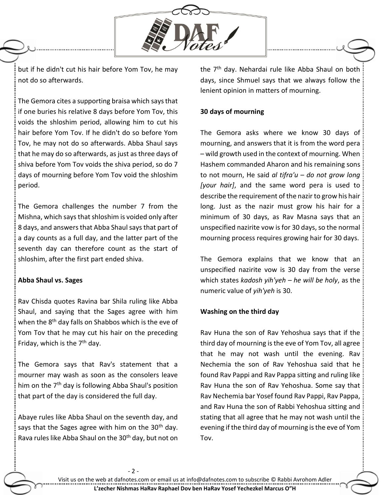

but if he didn't cut his hair before Yom Tov, he may not do so afterwards.

The Gemora cites a supporting braisa which says that if one buries his relative 8 days before Yom Tov, this voids the shloshim period, allowing him to cut his hair before Yom Tov. If he didn't do so before Yom Tov, he may not do so afterwards. Abba Shaul says that he may do so afterwards, as just as three days of shiva before Yom Tov voids the shiva period, so do 7 days of mourning before Yom Tov void the shloshim period.

The Gemora challenges the number 7 from the Mishna, which says that shloshim is voided only after 8 days, and answers that Abba Shaul says that part of a day counts as a full day, and the latter part of the seventh day can therefore count as the start of shloshim, after the first part ended shiva.

### **Abba Shaul vs. Sages**

Rav Chisda quotes Ravina bar Shila ruling like Abba Shaul, and saying that the Sages agree with him when the 8<sup>th</sup> day falls on Shabbos which is the eve of Yom Tov that he may cut his hair on the preceding Friday, which is the  $7<sup>th</sup>$  day.

The Gemora says that Rav's statement that a mourner may wash as soon as the consolers leave him on the 7<sup>th</sup> day is following Abba Shaul's position that part of the day is considered the full day.

Abaye rules like Abba Shaul on the seventh day, and says that the Sages agree with him on the  $30<sup>th</sup>$  day. Rava rules like Abba Shaul on the 30<sup>th</sup> day, but not on

- 2 -

the 7<sup>th</sup> day. Nehardai rule like Abba Shaul on both days, since Shmuel says that we always follow the lenient opinion in matters of mourning.

### **30 days of mourning**

The Gemora asks where we know 30 days of mourning, and answers that it is from the word pera – wild growth used in the context of mourning. When Hashem commanded Aharon and his remaining sons to not mourn, He said *al tifra'u – do not grow long [your hair]*, and the same word pera is used to describe the requirement of the nazir to grow his hair long. Just as the nazir must grow his hair for a minimum of 30 days, as Rav Masna says that an unspecified nazirite vow is for 30 days, so the normal mourning process requires growing hair for 30 days.

The Gemora explains that we know that an unspecified nazirite vow is 30 day from the verse which states *kadosh yih'yeh – he will be holy*, as the numeric value of *yih'yeh* is 30.

### **Washing on the third day**

Rav Huna the son of Rav Yehoshua says that if the third day of mourning is the eve of Yom Tov, all agree that he may not wash until the evening. Rav Nechemia the son of Rav Yehoshua said that he found Rav Pappi and Rav Pappa sitting and ruling like Rav Huna the son of Rav Yehoshua. Some say that Rav Nechemia bar Yosef found Rav Pappi, Rav Pappa, and Rav Huna the son of Rabbi Yehoshua sitting and stating that all agree that he may not wash until the evening if the third day of mourning is the eve of Yom Tov.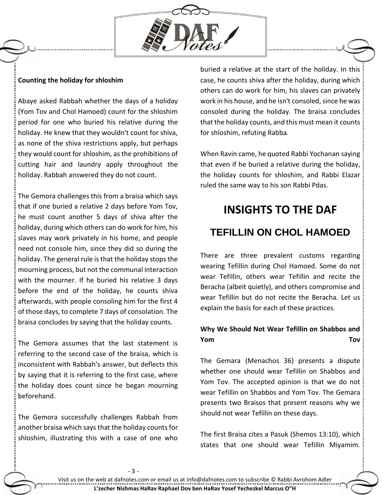

### **Counting the holiday for shloshim**

Abaye asked Rabbah whether the days of a holiday (Yom Tov and Chol Hamoed) count for the shloshim period for one who buried his relative during the holiday. He knew that they wouldn't count for shiva, as none of the shiva restrictions apply, but perhaps they would count for shloshim, as the prohibitions of cutting hair and laundry apply throughout the holiday. Rabbah answered they do not count.

The Gemora challenges this from a braisa which says that if one buried a relative 2 days before Yom Tov, he must count another 5 days of shiva after the holiday, during which others can do work for him, his slaves may work privately in his home, and people need not console him, since they did so during the holiday. The general rule is that the holiday stops the mourning process, but not the communal interaction with the mourner. If he buried his relative 3 days before the end of the holiday, he counts shiva afterwards, with people consoling him for the first 4 of those days, to complete 7 days of consolation. The braisa concludes by saying that the holiday counts.

The Gemora assumes that the last statement is referring to the second case of the braisa, which is inconsistent with Rabbah's answer, but deflects this by saying that it is referring to the first case, where the holiday does count since he began mourning beforehand.

The Gemora successfully challenges Rabbah from another braisa which says that the holiday counts for shloshim, illustrating this with a case of one who

buried a relative at the start of the holiday. In this case, he counts shiva after the holiday, during which others can do work for him, his slaves can privately work in his house, and he isn't consoled, since he was consoled during the holiday. The braisa concludes that the holiday counts, and this must mean it counts for shloshim, refuting Rabba.

When Ravin came, he quoted Rabbi Yochanan saying that even if he buried a relative during the holiday, the holiday counts for shloshim, and Rabbi Elazar ruled the same way to his son Rabbi Pdas.

# **INSIGHTS TO THE DAF TEFILLIN ON CHOL HAMOED**

There are three prevalent customs regarding wearing Tefillin during Chol Hamoed. Some do not wear Tefillin, others wear Tefillin and recite the Beracha (albeit quietly), and others compromise and wear Tefillin but do not recite the Beracha. Let us explain the basis for each of these practices.

## **Why We Should Not Wear Tefillin on Shabbos and Yom Tov**

The Gemara (Menachos 36) presents a dispute whether one should wear Tefillin on Shabbos and Yom Tov. The accepted opinion is that we do not wear Tefillin on Shabbos and Yom Tov. The Gemara presents two Braisos that present reasons why we should not wear Tefillin on these days.

The first Braisa cites a Pasuk (Shemos 13:10), which states that one should wear Tefillin Miyamim.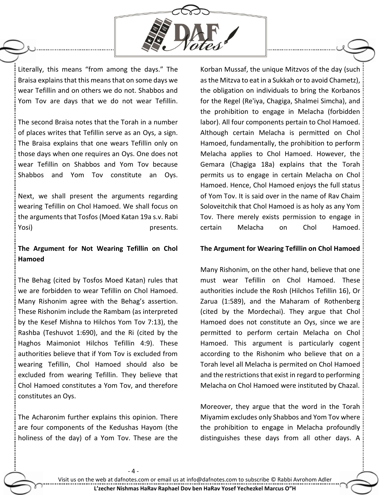

Literally, this means "from among the days." The Braisa explains that this means that on some days we wear Tefillin and on others we do not. Shabbos and Yom Tov are days that we do not wear Tefillin.

The second Braisa notes that the Torah in a number of places writes that Tefillin serve as an Oys, a sign. The Braisa explains that one wears Tefillin only on those days when one requires an Oys. One does not wear Tefillin on Shabbos and Yom Tov because Shabbos and Yom Tov constitute an Oys.

Next, we shall present the arguments regarding wearing Tefillin on Chol Hamoed. We shall focus on the arguments that Tosfos (Moed Katan 19a s.v. Rabi Yosi) presents.

## **The Argument for Not Wearing Tefillin on Chol Hamoed**

The Behag (cited by Tosfos Moed Katan) rules that we are forbidden to wear Tefillin on Chol Hamoed. Many Rishonim agree with the Behag's assertion. These Rishonim include the Rambam (as interpreted by the Kesef Mishna to Hilchos Yom Tov 7:13), the Rashba (Teshuvot 1:690), and the Ri (cited by the Haghos Maimoniot Hilchos Tefillin 4:9). These authorities believe that if Yom Tov is excluded from wearing Tefillin, Chol Hamoed should also be excluded from wearing Tefillin. They believe that Chol Hamoed constitutes a Yom Tov, and therefore constitutes an Oys.

The Acharonim further explains this opinion. There are four components of the Kedushas Hayom (the holiness of the day) of a Yom Tov. These are the Korban Mussaf, the unique Mitzvos of the day (such as the Mitzva to eat in a Sukkah or to avoid Chametz), the obligation on individuals to bring the Korbanos for the Regel (Re'iya, Chagiga, Shalmei Simcha), and the prohibition to engage in Melacha (forbidden labor). All four components pertain to Chol Hamoed. Although certain Melacha is permitted on Chol Hamoed, fundamentally, the prohibition to perform Melacha applies to Chol Hamoed. However, the Gemara (Chagiga 18a) explains that the Torah permits us to engage in certain Melacha on Chol Hamoed. Hence, Chol Hamoed enjoys the full status of Yom Tov. It is said over in the name of Rav Chaim Soloveitchik that Chol Hamoed is as holy as any Yom Tov. There merely exists permission to engage in certain Melacha on Chol Hamoed.

### **The Argument for Wearing Tefillin on Chol Hamoed**

Many Rishonim, on the other hand, believe that one must wear Tefillin on Chol Hamoed. These authorities include the Rosh (Hilchos Tefillin 16), Or Zarua (1:589), and the Maharam of Rothenberg (cited by the Mordechai). They argue that Chol Hamoed does not constitute an Oys, since we are permitted to perform certain Melacha on Chol Hamoed. This argument is particularly cogent according to the Rishonim who believe that on a Torah level all Melacha is permited on Chol Hamoed and the restrictions that exist in regard to performing Melacha on Chol Hamoed were instituted by Chazal.

Moreover, they argue that the word in the Torah Miyamim excludes only Shabbos and Yom Tov where the prohibition to engage in Melacha profoundly distinguishes these days from all other days. A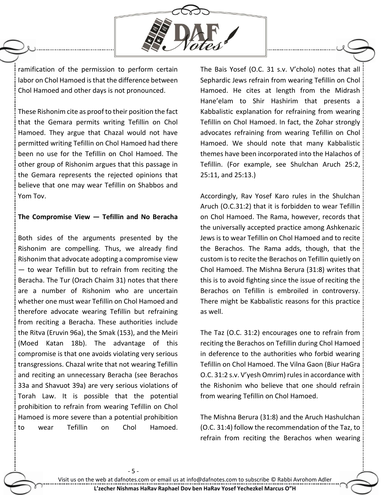

ramification of the permission to perform certain labor on Chol Hamoed is that the difference between Chol Hamoed and other days is not pronounced.

These Rishonim cite as proof to their position the fact that the Gemara permits writing Tefillin on Chol Hamoed. They argue that Chazal would not have permitted writing Tefillin on Chol Hamoed had there been no use for the Tefillin on Chol Hamoed. The other group of Rishonim argues that this passage in the Gemara represents the rejected opinions that believe that one may wear Tefillin on Shabbos and Yom Tov.

### **The Compromise View — Tefillin and No Beracha**

Both sides of the arguments presented by the Rishonim are compelling. Thus, we already find Rishonim that advocate adopting a compromise view — to wear Tefillin but to refrain from reciting the Beracha. The Tur (Orach Chaim 31) notes that there are a number of Rishonim who are uncertain whether one must wear Tefillin on Chol Hamoed and therefore advocate wearing Tefillin but refraining from reciting a Beracha. These authorities include the Ritva (Eruvin 96a), the Smak (153), and the Meiri (Moed Katan 18b). The advantage of this compromise is that one avoids violating very serious transgressions. Chazal write that not wearing Tefillin and reciting an unnecessary Beracha (see Berachos 33a and Shavuot 39a) are very serious violations of Torah Law. It is possible that the potential prohibition to refrain from wearing Tefillin on Chol Hamoed is more severe than a potential prohibition to wear Tefillin on Chol Hamoed.

- 5 -

The Bais Yosef (O.C. 31 s.v. V'cholo) notes that all Sephardic Jews refrain from wearing Tefillin on Chol Hamoed. He cites at length from the Midrash Hane'elam to Shir Hashirim that presents a Kabbalistic explanation for refraining from wearing Tefillin on Chol Hamoed. In fact, the Zohar strongly advocates refraining from wearing Tefillin on Chol Hamoed. We should note that many Kabbalistic themes have been incorporated into the Halachos of Tefillin. (For example, see Shulchan Aruch 25:2, 25:11, and 25:13.)

Accordingly, Rav Yosef Karo rules in the Shulchan Aruch (O.C.31:2) that it is forbidden to wear Tefillin on Chol Hamoed. The Rama, however, records that the universally accepted practice among Ashkenazic Jews is to wear Tefillin on Chol Hamoed and to recite the Berachos. The Rama adds, though, that the custom is to recite the Berachos on Tefillin quietly on Chol Hamoed. The Mishna Berura (31:8) writes that this is to avoid fighting since the issue of reciting the Berachos on Tefillin is embroiled in controversy. There might be Kabbalistic reasons for this practice as well.

The Taz (O.C. 31:2) encourages one to refrain from reciting the Berachos on Tefillin during Chol Hamoed in deference to the authorities who forbid wearing Tefillin on Chol Hamoed. The Vilna Gaon (Biur HaGra O.C. 31:2 s.v. V'yesh Omrim) rules in accordance with the Rishonim who believe that one should refrain from wearing Tefillin on Chol Hamoed.

The Mishna Berura (31:8) and the Aruch Hashulchan (O.C. 31:4) follow the recommendation of the Taz, to refrain from reciting the Berachos when wearing

Visit us on the web at dafnotes.com or email us at [info@dafnotes.com](mailto:info@dafnotes.com) to subscribe © Rabbi Avrohom Adler **L'zecher Nishmas HaRav Raphael Dov ben HaRav Yosef Yechezkel Marcus O"H**